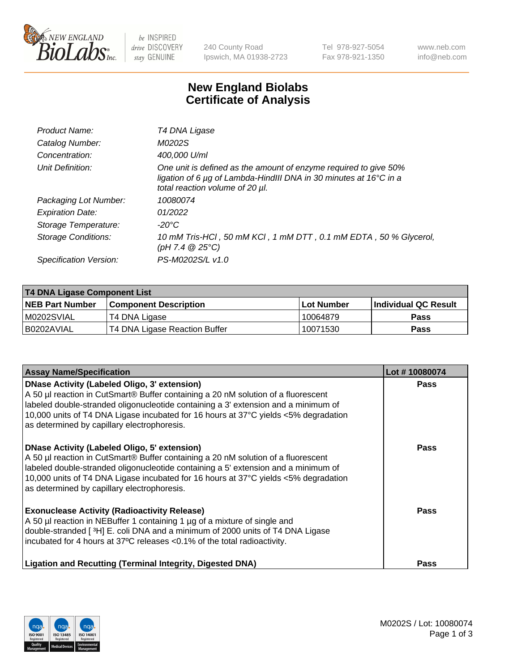

 $be$  INSPIRED drive DISCOVERY stay GENUINE

240 County Road Ipswich, MA 01938-2723 Tel 978-927-5054 Fax 978-921-1350 www.neb.com info@neb.com

## **New England Biolabs Certificate of Analysis**

| Product Name:           | T4 DNA Ligase                                                                                                                                                            |
|-------------------------|--------------------------------------------------------------------------------------------------------------------------------------------------------------------------|
| Catalog Number:         | M0202S                                                                                                                                                                   |
| Concentration:          | 400,000 U/ml                                                                                                                                                             |
| Unit Definition:        | One unit is defined as the amount of enzyme required to give 50%<br>ligation of 6 µg of Lambda-HindIII DNA in 30 minutes at 16°C in a<br>total reaction volume of 20 µl. |
| Packaging Lot Number:   | 10080074                                                                                                                                                                 |
| <b>Expiration Date:</b> | 01/2022                                                                                                                                                                  |
| Storage Temperature:    | -20°C                                                                                                                                                                    |
| Storage Conditions:     | 10 mM Tris-HCl, 50 mM KCl, 1 mM DTT, 0.1 mM EDTA, 50 % Glycerol,<br>(pH 7.4 $@25°C$ )                                                                                    |
| Specification Version:  | PS-M0202S/L v1.0                                                                                                                                                         |

| T4 DNA Ligase Component List |                               |              |                             |  |
|------------------------------|-------------------------------|--------------|-----------------------------|--|
| <b>NEB Part Number</b>       | <b>Component Description</b>  | l Lot Number | <b>Individual QC Result</b> |  |
| M0202SVIAL                   | T4 DNA Ligase                 | 10064879     | <b>Pass</b>                 |  |
| I B0202AVIAL                 | T4 DNA Ligase Reaction Buffer | 10071530     | <b>Pass</b>                 |  |

| <b>Assay Name/Specification</b>                                                                                                                                                                                                                                                                                                                                      | Lot #10080074 |
|----------------------------------------------------------------------------------------------------------------------------------------------------------------------------------------------------------------------------------------------------------------------------------------------------------------------------------------------------------------------|---------------|
| <b>DNase Activity (Labeled Oligo, 3' extension)</b><br>A 50 µl reaction in CutSmart® Buffer containing a 20 nM solution of a fluorescent<br>labeled double-stranded oligonucleotide containing a 3' extension and a minimum of<br>10,000 units of T4 DNA Ligase incubated for 16 hours at 37°C yields <5% degradation<br>as determined by capillary electrophoresis. | <b>Pass</b>   |
| <b>DNase Activity (Labeled Oligo, 5' extension)</b><br>A 50 µl reaction in CutSmart® Buffer containing a 20 nM solution of a fluorescent<br>labeled double-stranded oligonucleotide containing a 5' extension and a minimum of<br>10,000 units of T4 DNA Ligase incubated for 16 hours at 37°C yields <5% degradation<br>as determined by capillary electrophoresis. | Pass          |
| <b>Exonuclease Activity (Radioactivity Release)</b><br>A 50 µl reaction in NEBuffer 1 containing 1 µg of a mixture of single and<br>double-stranded [3H] E. coli DNA and a minimum of 2000 units of T4 DNA Ligase<br>incubated for 4 hours at 37°C releases <0.1% of the total radioactivity.                                                                        | Pass          |
| Ligation and Recutting (Terminal Integrity, Digested DNA)                                                                                                                                                                                                                                                                                                            | <b>Pass</b>   |

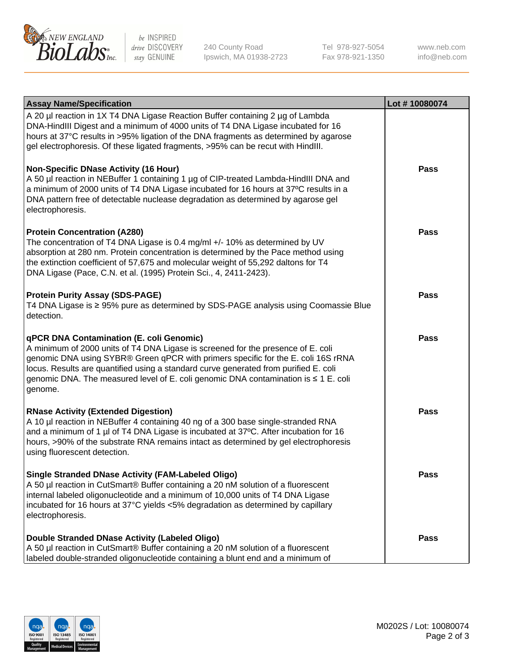

be INSPIRED drive DISCOVERY stay GENUINE

240 County Road Ipswich, MA 01938-2723 Tel 978-927-5054 Fax 978-921-1350 www.neb.com info@neb.com

| <b>Assay Name/Specification</b>                                                                                                                                                                                                                                                                                                                                                                             | Lot #10080074 |
|-------------------------------------------------------------------------------------------------------------------------------------------------------------------------------------------------------------------------------------------------------------------------------------------------------------------------------------------------------------------------------------------------------------|---------------|
| A 20 µl reaction in 1X T4 DNA Ligase Reaction Buffer containing 2 µg of Lambda<br>DNA-HindIII Digest and a minimum of 4000 units of T4 DNA Ligase incubated for 16<br>hours at 37°C results in >95% ligation of the DNA fragments as determined by agarose<br>gel electrophoresis. Of these ligated fragments, >95% can be recut with HindIII.                                                              |               |
| <b>Non-Specific DNase Activity (16 Hour)</b><br>A 50 µl reaction in NEBuffer 1 containing 1 µg of CIP-treated Lambda-HindIII DNA and<br>a minimum of 2000 units of T4 DNA Ligase incubated for 16 hours at 37°C results in a<br>DNA pattern free of detectable nuclease degradation as determined by agarose gel<br>electrophoresis.                                                                        | Pass          |
| <b>Protein Concentration (A280)</b><br>The concentration of T4 DNA Ligase is 0.4 mg/ml +/- 10% as determined by UV<br>absorption at 280 nm. Protein concentration is determined by the Pace method using<br>the extinction coefficient of 57,675 and molecular weight of 55,292 daltons for T4<br>DNA Ligase (Pace, C.N. et al. (1995) Protein Sci., 4, 2411-2423).                                         | Pass          |
| <b>Protein Purity Assay (SDS-PAGE)</b><br>T4 DNA Ligase is ≥ 95% pure as determined by SDS-PAGE analysis using Coomassie Blue<br>detection.                                                                                                                                                                                                                                                                 | <b>Pass</b>   |
| qPCR DNA Contamination (E. coli Genomic)<br>A minimum of 2000 units of T4 DNA Ligase is screened for the presence of E. coli<br>genomic DNA using SYBR® Green qPCR with primers specific for the E. coli 16S rRNA<br>locus. Results are quantified using a standard curve generated from purified E. coli<br>genomic DNA. The measured level of E. coli genomic DNA contamination is ≤ 1 E. coli<br>genome. | <b>Pass</b>   |
| <b>RNase Activity (Extended Digestion)</b><br>A 10 µl reaction in NEBuffer 4 containing 40 ng of a 300 base single-stranded RNA<br>and a minimum of 1 µl of T4 DNA Ligase is incubated at 37°C. After incubation for 16<br>hours, >90% of the substrate RNA remains intact as determined by gel electrophoresis<br>using fluorescent detection.                                                             | <b>Pass</b>   |
| <b>Single Stranded DNase Activity (FAM-Labeled Oligo)</b><br>A 50 µl reaction in CutSmart® Buffer containing a 20 nM solution of a fluorescent<br>internal labeled oligonucleotide and a minimum of 10,000 units of T4 DNA Ligase<br>incubated for 16 hours at 37°C yields <5% degradation as determined by capillary<br>electrophoresis.                                                                   | Pass          |
| Double Stranded DNase Activity (Labeled Oligo)<br>A 50 µl reaction in CutSmart® Buffer containing a 20 nM solution of a fluorescent<br>labeled double-stranded oligonucleotide containing a blunt end and a minimum of                                                                                                                                                                                      | Pass          |